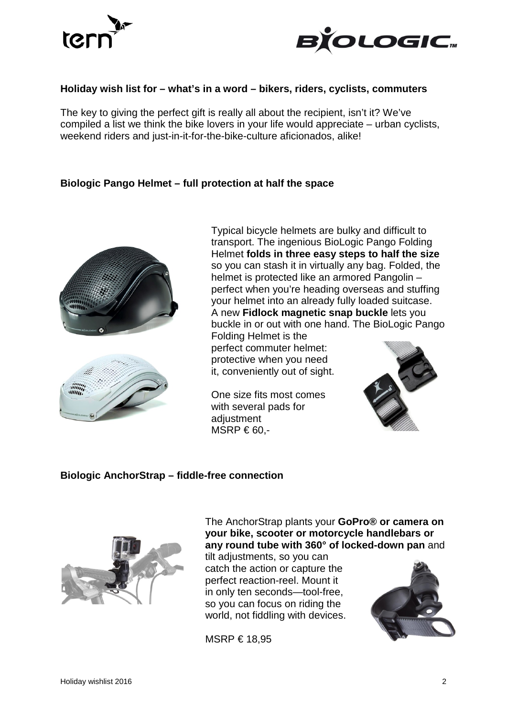



#### **Holiday wish list for – what's in a word – bikers, riders, cyclists, commuters**

The key to giving the perfect gift is really all about the recipient, isn't it? We've compiled a list we think the bike lovers in your life would appreciate – urban cyclists, weekend riders and just-in-it-for-the-bike-culture aficionados, alike!

#### **Biologic Pango Helmet – full protection at half the space**





Typical bicycle helmets are bulky and difficult to transport. The ingenious BioLogic Pango Folding Helmet **folds in three easy steps to half the size** so you can stash it in virtually any bag. Folded, the helmet is protected like an armored Pangolin – perfect when you're heading overseas and stuffing your helmet into an already fully loaded suitcase. A new **Fidlock magnetic snap buckle** lets you buckle in or out with one hand. The BioLogic Pango

Folding Helmet is the perfect commuter helmet: protective when you need it, conveniently out of sight.

One size fits most comes with several pads for adjustment  $MSRP \text{ } \in 60.$ -



#### **Biologic AnchorStrap – fiddle-free connection**



The AnchorStrap plants your **GoPro® or camera on your bike, scooter or motorcycle handlebars or any round tube with 360° of locked-down pan** and

tilt adjustments, so you can catch the action or capture the perfect reaction-reel. Mount it in only ten seconds—tool-free, so you can focus on riding the world, not fiddling with devices.

MSRP € 18,95

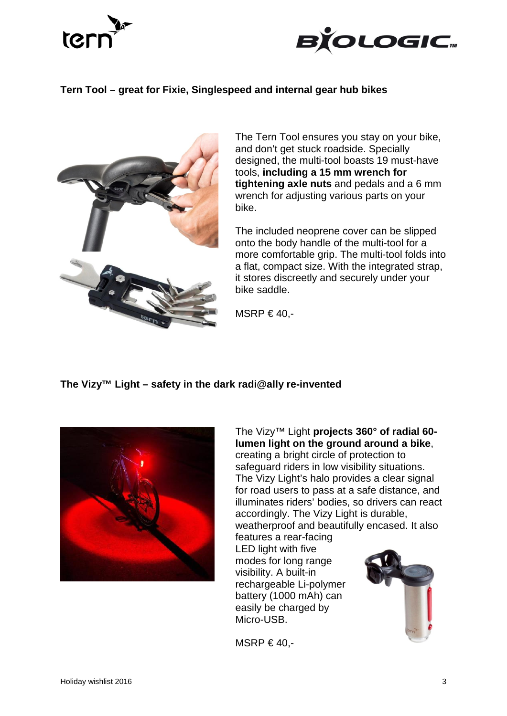



# **Tern Tool – great for Fixie, Singlespeed and internal gear hub bikes**



The Tern Tool ensures you stay on your bike, and don't get stuck roadside. Specially designed, the multi-tool boasts 19 must-have tools, **including a 15 mm wrench for tightening axle nuts** and pedals and a 6 mm wrench for adjusting various parts on your bike.

The included neoprene cover can be slipped onto the body handle of the multi-tool for a more comfortable grip. The multi-tool folds into a flat, compact size. With the integrated strap, it stores discreetly and securely under your bike saddle.

MSRP  $\in$  40.-

### **The Vizy™ Light – safety in the dark radi@ally re-invented**



The Vizy™ Light **projects 360° of radial 60 lumen light on the ground around a bike**, creating a bright circle of protection to safeguard riders in low visibility situations. The Vizy Light's halo provides a clear signal for road users to pass at a safe distance, and illuminates riders' bodies, so drivers can react accordingly. The Vizy Light is durable, weatherproof and beautifully encased. It also features a rear-facing LED light with five modes for long range visibility. A built-in rechargeable Li-polymer battery (1000 mAh) can easily be charged by Micro-USB.

MSRP  $\in$  40,-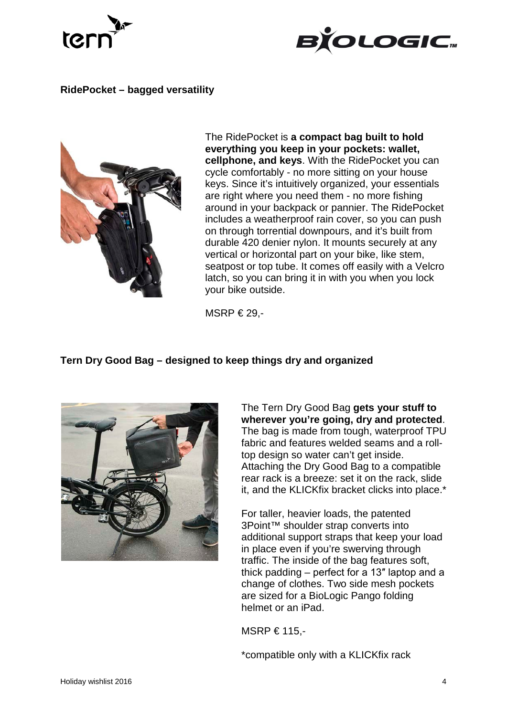



# **RidePocket – bagged versatility**



The RidePocket is **a compact bag built to hold everything you keep in your pockets: wallet, cellphone, and keys**. With the RidePocket you can cycle comfortably - no more sitting on your house keys. Since it's intuitively organized, your essentials are right where you need them - no more fishing around in your backpack or pannier. The RidePocket includes a weatherproof rain cover, so you can push on through torrential downpours, and it's built from durable 420 denier nylon. It mounts securely at any vertical or horizontal part on your bike, like stem, seatpost or top tube. It comes off easily with a Velcro latch, so you can bring it in with you when you lock your bike outside.

MSRP  $€ 29. -$ 

### **Tern Dry Good Bag – designed to keep things dry and organized**



The Tern Dry Good Bag **gets your stuff to wherever you're going, dry and protected**. The bag is made from tough, waterproof TPU fabric and features welded seams and a rolltop design so water can't get inside. Attaching the Dry Good Bag to a compatible rear rack is a breeze: set it on the rack, slide it, and the KLICKfix bracket clicks into place.\*

For taller, heavier loads, the patented 3Point™ shoulder strap converts into additional support straps that keep your load in place even if you're swerving through traffic. The inside of the bag features soft, thick padding – perfect for a 13″ laptop and a change of clothes. Two side mesh pockets are sized for a BioLogic Pango folding helmet or an iPad.

MSRP € 115,-

\*compatible only with a KLICKfix rack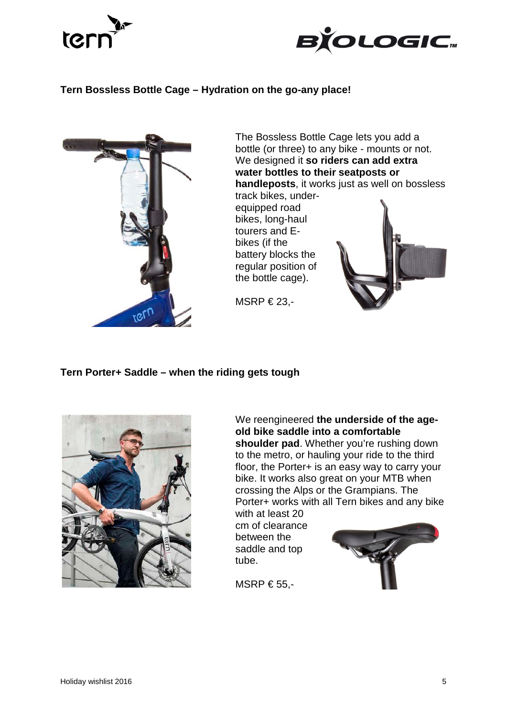



# **Tern Bossless Bottle Cage – Hydration on the go-any place!**



### **Tern Porter+ Saddle – when the riding gets tough**



We reengineered **the underside of the ageold bike saddle into a comfortable**  shoulder pad. Whether you're rushing down to the metro, or hauling your ride to the third floor, the Porter+ is an easy way to carry your bike. It works also great on your MTB when crossing the Alps or the Grampians. The Porter+ works with all Tern bikes and any bike

with at least 20 cm of clearance between the saddle and top tube.



MSRP  $655$ .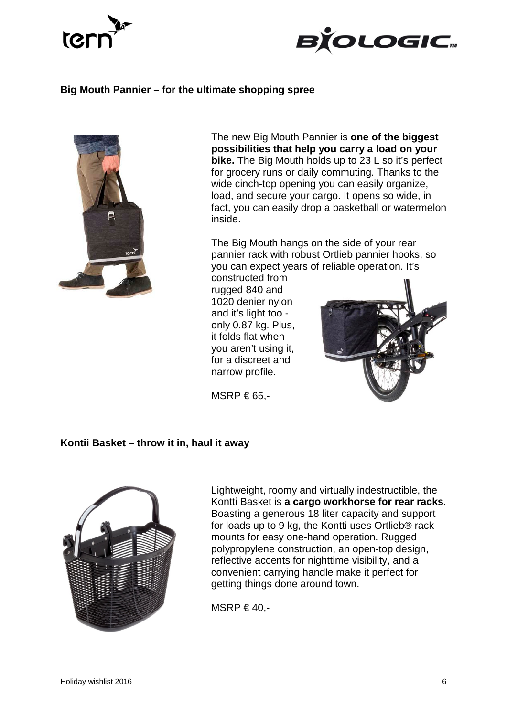



# **Big Mouth Pannier – for the ultimate shopping spree**



The new Big Mouth Pannier is **one of the biggest possibilities that help you carry a load on your bike.** The Big Mouth holds up to 23 L so it's perfect for grocery runs or daily commuting. Thanks to the wide cinch-top opening you can easily organize, load, and secure your cargo. It opens so wide, in fact, you can easily drop a basketball or watermelon inside.

The Big Mouth hangs on the side of your rear pannier rack with robust Ortlieb pannier hooks, so you can expect years of reliable operation. It's

constructed from rugged 840 and 1020 denier nylon and it's light too only 0.87 kg. Plus, it folds flat when you aren't using it, for a discreet and narrow profile.



MSRP  $\in$  65,-

### **Kontii Basket – throw it in, haul it away**



Lightweight, roomy and virtually indestructible, the Kontti Basket is **a cargo workhorse for rear racks**. Boasting a generous 18 liter capacity and support for loads up to 9 kg, the Kontti uses Ortlieb® rack mounts for easy one-hand operation. Rugged polypropylene construction, an open-top design, reflective accents for nighttime visibility, and a convenient carrying handle make it perfect for getting things done around town.

MSRP  $\in$  40,-